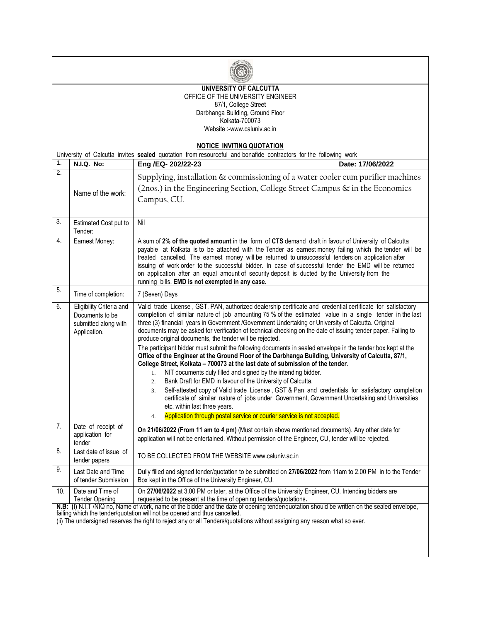| UNIVERSITY OF CALCUTTA<br>OFFICE OF THE UNIVERSITY ENGINEER<br>87/1, College Street<br>Darbhanga Building, Ground Floor<br>Kolkata-700073<br>Website:-www.caluniv.ac.in |                                                                                     |                                                                                                                                                                                                                                                                                                                                                                                                                                                                                                                                                                                                                                                                                                                                                                                                                                                                                                                                                                                                                                                                                                                                                                                                                                                                                                |  |  |  |  |  |  |
|-------------------------------------------------------------------------------------------------------------------------------------------------------------------------|-------------------------------------------------------------------------------------|------------------------------------------------------------------------------------------------------------------------------------------------------------------------------------------------------------------------------------------------------------------------------------------------------------------------------------------------------------------------------------------------------------------------------------------------------------------------------------------------------------------------------------------------------------------------------------------------------------------------------------------------------------------------------------------------------------------------------------------------------------------------------------------------------------------------------------------------------------------------------------------------------------------------------------------------------------------------------------------------------------------------------------------------------------------------------------------------------------------------------------------------------------------------------------------------------------------------------------------------------------------------------------------------|--|--|--|--|--|--|
|                                                                                                                                                                         |                                                                                     |                                                                                                                                                                                                                                                                                                                                                                                                                                                                                                                                                                                                                                                                                                                                                                                                                                                                                                                                                                                                                                                                                                                                                                                                                                                                                                |  |  |  |  |  |  |
| <b>NOTICE INVITING QUOTATION</b><br>University of Calcutta invites sealed quotation from resourceful and bonafide contractors for the following work                    |                                                                                     |                                                                                                                                                                                                                                                                                                                                                                                                                                                                                                                                                                                                                                                                                                                                                                                                                                                                                                                                                                                                                                                                                                                                                                                                                                                                                                |  |  |  |  |  |  |
| 1.                                                                                                                                                                      | <b>N.I.Q. No:</b>                                                                   | Eng /EQ- 202/22-23<br>Date: 17/06/2022                                                                                                                                                                                                                                                                                                                                                                                                                                                                                                                                                                                                                                                                                                                                                                                                                                                                                                                                                                                                                                                                                                                                                                                                                                                         |  |  |  |  |  |  |
| $\overline{2}$ .                                                                                                                                                        |                                                                                     |                                                                                                                                                                                                                                                                                                                                                                                                                                                                                                                                                                                                                                                                                                                                                                                                                                                                                                                                                                                                                                                                                                                                                                                                                                                                                                |  |  |  |  |  |  |
|                                                                                                                                                                         | Name of the work:                                                                   | Supplying, installation & commissioning of a water cooler cum purifier machines<br>(2nos.) in the Engineering Section, College Street Campus & in the Economics<br>Campus, CU.                                                                                                                                                                                                                                                                                                                                                                                                                                                                                                                                                                                                                                                                                                                                                                                                                                                                                                                                                                                                                                                                                                                 |  |  |  |  |  |  |
| $\overline{3}$ .                                                                                                                                                        | Estimated Cost put to<br>Tender:                                                    | Nil                                                                                                                                                                                                                                                                                                                                                                                                                                                                                                                                                                                                                                                                                                                                                                                                                                                                                                                                                                                                                                                                                                                                                                                                                                                                                            |  |  |  |  |  |  |
| 4.                                                                                                                                                                      | Earnest Money:                                                                      | A sum of 2% of the quoted amount in the form of CTS demand draft in favour of University of Calcutta<br>payable at Kolkata is to be attached with the Tender as earnest money failing which the tender will be<br>treated cancelled. The earnest money will be returned to unsuccessful tenders on application after<br>issuing of work order to the successful bidder. In case of successful tender the EMD will be returned<br>on application after an equal amount of security deposit is ducted by the University from the<br>running bills. EMD is not exempted in any case.                                                                                                                                                                                                                                                                                                                                                                                                                                                                                                                                                                                                                                                                                                              |  |  |  |  |  |  |
| 5.                                                                                                                                                                      | Time of completion:                                                                 | 7 (Seven) Days                                                                                                                                                                                                                                                                                                                                                                                                                                                                                                                                                                                                                                                                                                                                                                                                                                                                                                                                                                                                                                                                                                                                                                                                                                                                                 |  |  |  |  |  |  |
| 6.                                                                                                                                                                      | Eligibility Criteria and<br>Documents to be<br>submitted along with<br>Application. | Valid trade License, GST, PAN, authorized dealership certificate and credential certificate for satisfactory<br>completion of similar nature of job amounting 75 % of the estimated value in a single tender in the last<br>three (3) financial years in Government /Government Undertaking or University of Calcutta. Original<br>documents may be asked for verification of technical checking on the date of issuing tender paper. Failing to<br>produce original documents, the tender will be rejected.<br>The participant bidder must submit the following documents in sealed envelope in the tender box kept at the<br>Office of the Engineer at the Ground Floor of the Darbhanga Building, University of Calcutta, 87/1,<br>College Street, Kolkata - 700073 at the last date of submission of the tender.<br>NIT documents duly filled and signed by the intending bidder.<br>1.<br>Bank Draft for EMD in favour of the University of Calcutta.<br>2.<br>Self-attested copy of Valid trade License, GST & Pan and credentials for satisfactory completion<br>3.<br>certificate of similar nature of jobs under Government, Government Undertaking and Universities<br>etc. within last three years.<br>Application through postal service or courier service is not accepted.<br>4. |  |  |  |  |  |  |
| 7.                                                                                                                                                                      | Date of receipt of<br>application for<br>tender                                     | On 21/06/2022 (From 11 am to 4 pm) (Must contain above mentioned documents). Any other date for<br>application will not be entertained. Without permission of the Engineer, CU, tender will be rejected.                                                                                                                                                                                                                                                                                                                                                                                                                                                                                                                                                                                                                                                                                                                                                                                                                                                                                                                                                                                                                                                                                       |  |  |  |  |  |  |
| 8.                                                                                                                                                                      | Last date of issue of<br>tender papers                                              | TO BE COLLECTED FROM THE WEBSITE www.caluniv.ac.in                                                                                                                                                                                                                                                                                                                                                                                                                                                                                                                                                                                                                                                                                                                                                                                                                                                                                                                                                                                                                                                                                                                                                                                                                                             |  |  |  |  |  |  |
| 9.                                                                                                                                                                      | Last Date and Time<br>of tender Submission                                          | Dully filled and signed tender/quotation to be submitted on 27/06/2022 from 11am to 2.00 PM in to the Tender<br>Box kept in the Office of the University Engineer, CU.                                                                                                                                                                                                                                                                                                                                                                                                                                                                                                                                                                                                                                                                                                                                                                                                                                                                                                                                                                                                                                                                                                                         |  |  |  |  |  |  |
| 10.                                                                                                                                                                     | Date and Time of<br><b>Tender Opening</b>                                           | On 27/06/2022 at 3.00 PM or later, at the Office of the University Engineer, CU. Intending bidders are<br>requested to be present at the time of opening tenders/quotations.                                                                                                                                                                                                                                                                                                                                                                                                                                                                                                                                                                                                                                                                                                                                                                                                                                                                                                                                                                                                                                                                                                                   |  |  |  |  |  |  |
|                                                                                                                                                                         |                                                                                     | N.B: (i) N.I.T /NIQ no, Name of work, name of the bidder and the date of opening tender/quotation should be written on the sealed envelope,<br>failing which the tender/quotation will not be opened and thus cancelled.<br>(ii) The undersigned reserves the right to reject any or all Tenders/quotations without assigning any reason what so ever.                                                                                                                                                                                                                                                                                                                                                                                                                                                                                                                                                                                                                                                                                                                                                                                                                                                                                                                                         |  |  |  |  |  |  |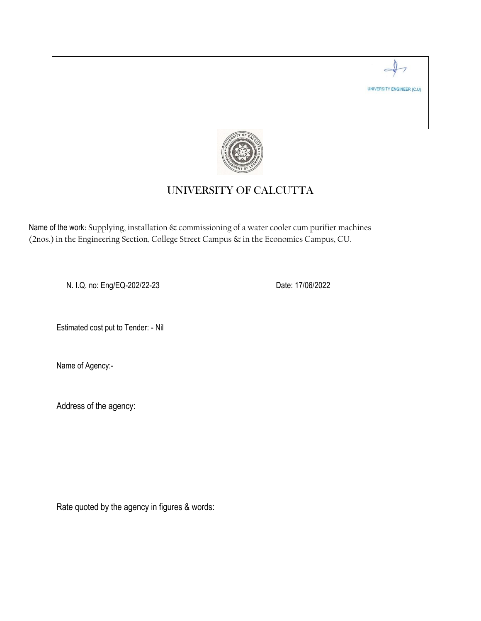

## UNIVERSITY OF CALCUTTA

Name of the work: Supplying, installation & commissioning of a water cooler cum purifier machines (2nos.) in the Engineering Section, College Street Campus & in the Economics Campus, CU.

N. I.Q. no: Eng/EQ-202/22-23 Date: 17/06/2022

UNIVERSITY ENGINEER (C.U)

Estimated cost put to Tender: - Nil

Name of Agency:-

Address of the agency:

Rate quoted by the agency in figures & words: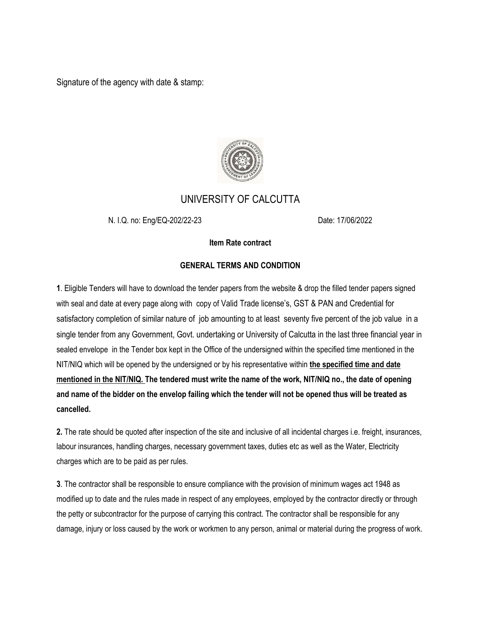Signature of the agency with date & stamp:



## UNIVERSITY OF CALCUTTA

N. I.Q. no: Eng/EQ-202/22-23 Date: 17/06/2022

## **Item Rate contract**

## **GENERAL TERMS AND CONDITION**

**1**. Eligible Tenders will have to download the tender papers from the website & drop the filled tender papers signed with seal and date at every page along with copy of Valid Trade license's, GST & PAN and Credential for satisfactory completion of similar nature of job amounting to at least seventy five percent of the job value in a single tender from any Government, Govt. undertaking or University of Calcutta in the last three financial year in sealed envelope in the Tender box kept in the Office of the undersigned within the specified time mentioned in the NIT/NIQ which will be opened by the undersigned or by his representative within **the specified time and date mentioned in the NIT/NIQ. The tendered must write the name of the work, NIT/NIQ no., the date of opening and name of the bidder on the envelop failing which the tender will not be opened thus will be treated as cancelled.**

**2.** The rate should be quoted after inspection of the site and inclusive of all incidental charges i.e. freight, insurances, labour insurances, handling charges, necessary government taxes, duties etc as well as the Water, Electricity charges which are to be paid as per rules.

**3**. The contractor shall be responsible to ensure compliance with the provision of minimum wages act 1948 as modified up to date and the rules made in respect of any employees, employed by the contractor directly or through the petty or subcontractor for the purpose of carrying this contract. The contractor shall be responsible for any damage, injury or loss caused by the work or workmen to any person, animal or material during the progress of work.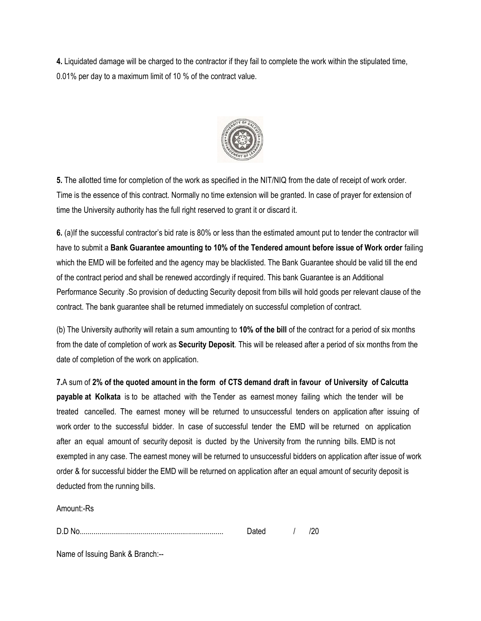**4.** Liquidated damage will be charged to the contractor if they fail to complete the work within the stipulated time, 0.01% per day to a maximum limit of 10 % of the contract value.



**5.** The allotted time for completion of the work as specified in the NIT/NIQ from the date of receipt of work order. Time is the essence of this contract. Normally no time extension will be granted. In case of prayer for extension of time the University authority has the full right reserved to grant it or discard it.

**6.** (a)If the successful contractor's bid rate is 80% or less than the estimated amount put to tender the contractor will have to submit a **Bank Guarantee amounting to 10% of the Tendered amount before issue of Work order** failing which the EMD will be forfeited and the agency may be blacklisted. The Bank Guarantee should be valid till the end of the contract period and shall be renewed accordingly if required. This bank Guarantee is an Additional Performance Security .So provision of deducting Security deposit from bills will hold goods per relevant clause of the contract. The bank guarantee shall be returned immediately on successful completion of contract.

(b) The University authority will retain a sum amounting to **10% of the bill** of the contract for a period of six months from the date of completion of work as **Security Deposit**. This will be released after a period of six months from the date of completion of the work on application.

**7.**A sum of **2% of the quoted amount in the form of CTS demand draft in favour of University of Calcutta payable at Kolkata** is to be attached with the Tender as earnest money failing which the tender will be treated cancelled. The earnest money will be returned to unsuccessful tenders on application after issuing of work order to the successful bidder. In case of successful tender the EMD will be returned on application after an equal amount of security deposit is ducted by the University from the running bills. EMD is not exempted in any case. The earnest money will be returned to unsuccessful bidders on application after issue of work order & for successful bidder the EMD will be returned on application after an equal amount of security deposit is deducted from the running bills.

Amount:-Rs

D.D No......................................................................... Dated / /20

Name of Issuing Bank & Branch:--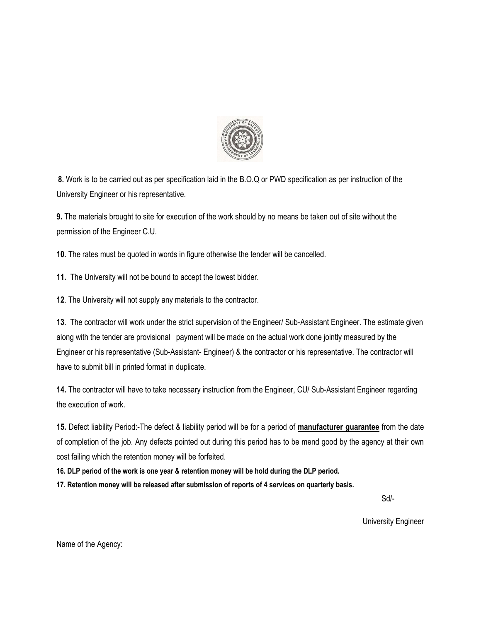

**8.** Work is to be carried out as per specification laid in the B.O.Q or PWD specification as per instruction of the University Engineer or his representative.

**9.** The materials brought to site for execution of the work should by no means be taken out of site without the permission of the Engineer C.U.

**10.** The rates must be quoted in words in figure otherwise the tender will be cancelled.

**11.** The University will not be bound to accept the lowest bidder.

**12**. The University will not supply any materials to the contractor.

**13**. The contractor will work under the strict supervision of the Engineer/ Sub-Assistant Engineer. The estimate given along with the tender are provisional payment will be made on the actual work done jointly measured by the Engineer or his representative (Sub-Assistant- Engineer) & the contractor or his representative. The contractor will have to submit bill in printed format in duplicate.

**14.** The contractor will have to take necessary instruction from the Engineer, CU/ Sub-Assistant Engineer regarding the execution of work.

**15.** Defect liability Period:-The defect & liability period will be for a period of **manufacturer guarantee** from the date of completion of the job. Any defects pointed out during this period has to be mend good by the agency at their own cost failing which the retention money will be forfeited.

**16. DLP period of the work is one year & retention money will be hold during the DLP period.**

**17. Retention money will be released after submission of reports of 4 services on quarterly basis.**

Sd/-

University Engineer

Name of the Agency: